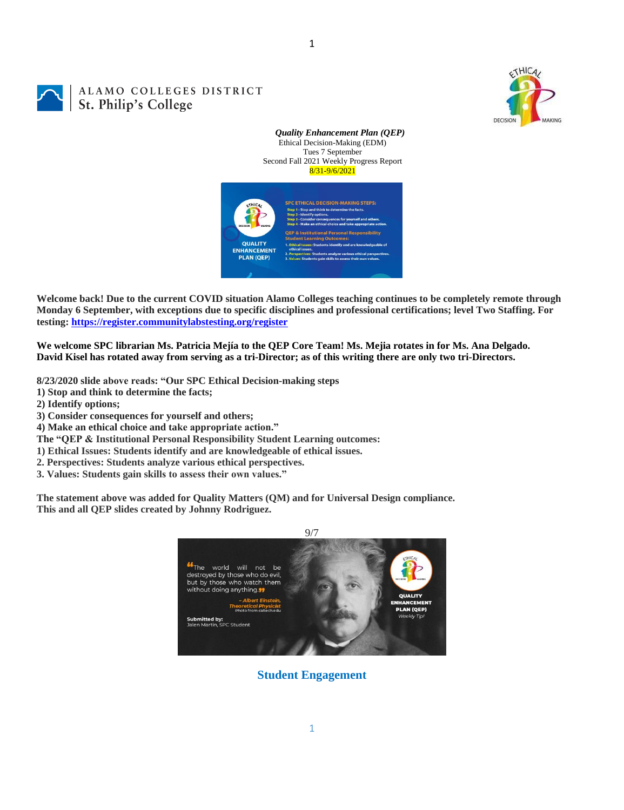

# ALAMO COLLEGES DISTRICT St. Philip's College



1



**Welcome back! Due to the current COVID situation Alamo Colleges teaching continues to be completely remote through Monday 6 September, with exceptions due to specific disciplines and professional certifications; level Two Staffing. For testing:<https://register.communitylabstesting.org/register>**

**We welcome SPC librarian Ms. Patricia Mejía to the QEP Core Team! Ms. Mejia rotates in for Ms. Ana Delgado. David Kisel has rotated away from serving as a tri-Director; as of this writing there are only two tri-Directors.**

**8/23/2020 slide above reads: "Our SPC Ethical Decision-making steps** 

- **1) Stop and think to determine the facts;**
- **2) Identify options;**
- **3) Consider consequences for yourself and others;**
- **4) Make an ethical choice and take appropriate action."**
- **The "QEP & Institutional Personal Responsibility Student Learning outcomes:**
- **1) Ethical Issues: Students identify and are knowledgeable of ethical issues.**
- **2. Perspectives: Students analyze various ethical perspectives.**
- **3. Values: Students gain skills to assess their own values."**

**The statement above was added for Quality Matters (QM) and for Universal Design compliance. This and all QEP slides created by Johnny Rodriguez.** 



**Student Engagement**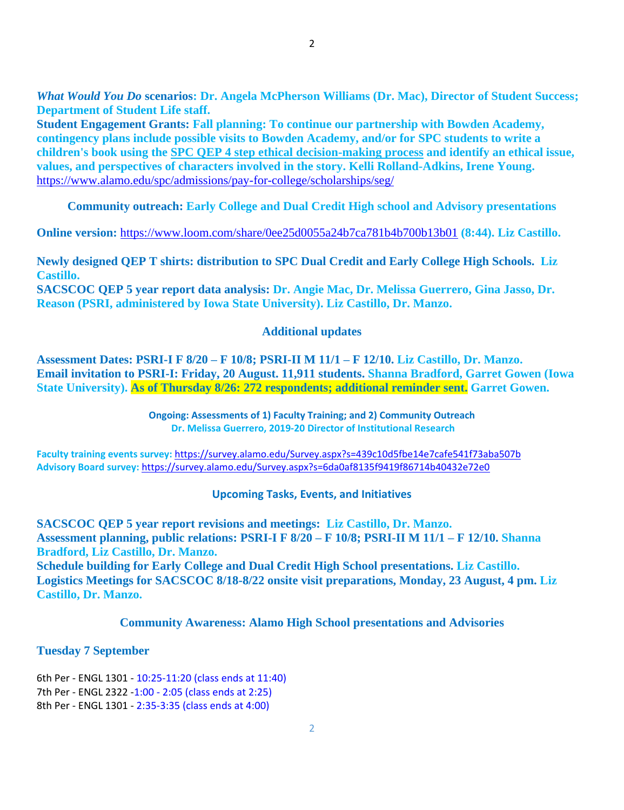**Student Engagement Grants: Fall planning: To continue our partnership with Bowden Academy, contingency plans include possible visits to Bowden Academy, and/or for SPC students to write a children's book using the [SPC QEP 4 step ethical decision-making process](https://mail.alamo.edu/owa/redir.aspx?REF=QPGGgOE-3HbbrbCAzqBFQWbtY3e2Gc0f0qSFld99-4hqZWSPr8DYCAFodHRwczovL3d3dy5hbGFtby5lZHUvbGluay8zYjg5NjQxMTY3MGY0YTZlYjU2MzNkNGFmNjE1OTBjNC5hc3B4) and identify an ethical issue, values, and perspectives of characters involved in the story. Kelli Rolland-Adkins, Irene Young.** <https://www.alamo.edu/spc/admissions/pay-for-college/scholarships/seg/>

**Community outreach: Early College and Dual Credit High school and Advisory presentations**

**Online version:** <https://www.loom.com/share/0ee25d0055a24b7ca781b4b700b13b01> **(8:44). Liz Castillo.**

**Newly designed QEP T shirts: distribution to SPC Dual Credit and Early College High Schools. Liz Castillo.**

**SACSCOC QEP 5 year report data analysis: Dr. Angie Mac, Dr. Melissa Guerrero, Gina Jasso, Dr. Reason (PSRI, administered by Iowa State University). Liz Castillo, Dr. Manzo.**

## **Additional updates**

**Assessment Dates: PSRI-I F 8/20 – F 10/8; PSRI-II M 11/1 – F 12/10. Liz Castillo, Dr. Manzo. Email invitation to PSRI-I: Friday, 20 August. 11,911 students. Shanna Bradford, Garret Gowen (Iowa State University). As of Thursday 8/26: 272 respondents; additional reminder sent. Garret Gowen.**

> **Ongoing: Assessments of 1) Faculty Training; and 2) Community Outreach Dr. Melissa Guerrero, 2019-20 Director of Institutional Research**

**Faculty training events survey:** <https://survey.alamo.edu/Survey.aspx?s=439c10d5fbe14e7cafe541f73aba507b> **Advisory Board survey:** [https://survey.alamo.edu/Survey.aspx?s=6da0af8135f9419f86714b40432e72e0](https://mail.alamo.edu/owa/redir.aspx?C=ltSuwFrmmhFPV6kAmiCFHriyLNGIl0PeNuaCUMi1FWtl6dwQ6ubXCA..&URL=https%3a%2f%2fsurvey.alamo.edu%2fSurvey.aspx%3fs%3d6da0af8135f9419f86714b40432e72e0)

## **Upcoming Tasks, Events, and Initiatives**

**SACSCOC QEP 5 year report revisions and meetings: Liz Castillo, Dr. Manzo. Assessment planning, public relations: PSRI-I F 8/20 – F 10/8; PSRI-II M 11/1 – F 12/10. Shanna Bradford, Liz Castillo, Dr. Manzo.**

**Schedule building for Early College and Dual Credit High School presentations. Liz Castillo. Logistics Meetings for SACSCOC 8/18-8/22 onsite visit preparations, Monday, 23 August, 4 pm. Liz Castillo, Dr. Manzo.**

**Community Awareness: Alamo High School presentations and Advisories**

## **Tuesday 7 September**

6th Per - ENGL 1301 - 10:25-11:20 (class ends at 11:40) 7th Per - ENGL 2322 -1:00 - 2:05 (class ends at 2:25) 8th Per - ENGL 1301 - 2:35-3:35 (class ends at 4:00)